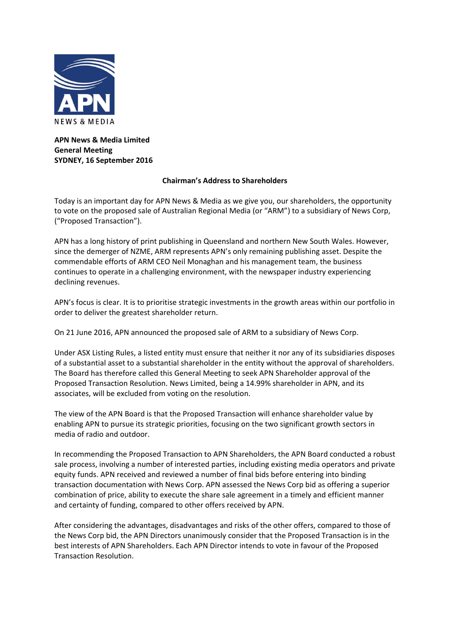

**APN News & Media Limited General Meeting SYDNEY, 16 September 2016**

## **Chairman's Address to Shareholders**

Today is an important day for APN News & Media as we give you, our shareholders, the opportunity to vote on the proposed sale of Australian Regional Media (or "ARM") to a subsidiary of News Corp, ("Proposed Transaction").

APN has a long history of print publishing in Queensland and northern New South Wales. However, since the demerger of NZME, ARM represents APN's only remaining publishing asset. Despite the commendable efforts of ARM CEO Neil Monaghan and his management team, the business continues to operate in a challenging environment, with the newspaper industry experiencing declining revenues.

APN's focus is clear. It is to prioritise strategic investments in the growth areas within our portfolio in order to deliver the greatest shareholder return.

On 21 June 2016, APN announced the proposed sale of ARM to a subsidiary of News Corp.

Under ASX Listing Rules, a listed entity must ensure that neither it nor any of its subsidiaries disposes of a substantial asset to a substantial shareholder in the entity without the approval of shareholders. The Board has therefore called this General Meeting to seek APN Shareholder approval of the Proposed Transaction Resolution. News Limited, being a 14.99% shareholder in APN, and its associates, will be excluded from voting on the resolution.

The view of the APN Board is that the Proposed Transaction will enhance shareholder value by enabling APN to pursue its strategic priorities, focusing on the two significant growth sectors in media of radio and outdoor.

In recommending the Proposed Transaction to APN Shareholders, the APN Board conducted a robust sale process, involving a number of interested parties, including existing media operators and private equity funds. APN received and reviewed a number of final bids before entering into binding transaction documentation with News Corp. APN assessed the News Corp bid as offering a superior combination of price, ability to execute the share sale agreement in a timely and efficient manner and certainty of funding, compared to other offers received by APN.

After considering the advantages, disadvantages and risks of the other offers, compared to those of the News Corp bid, the APN Directors unanimously consider that the Proposed Transaction is in the best interests of APN Shareholders. Each APN Director intends to vote in favour of the Proposed Transaction Resolution.